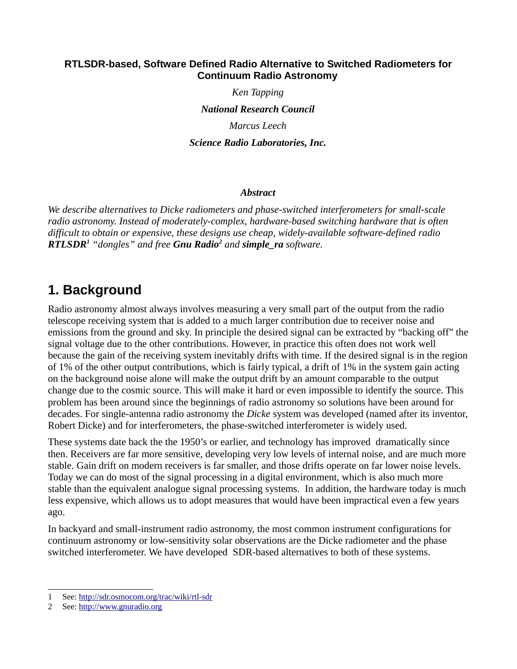## **RTLSDR-based, Software Defined Radio Alternative to Switched Radiometers for Continuum Radio Astronomy**

*Ken Tapping*

*National Research Council*

*Marcus Leech*

*Science Radio Laboratories, Inc.*

## *Abstract*

*We describe alternatives to Dicke radiometers and phase-switched interferometers for small-scale radio astronomy. Instead of moderately-complex, hardware-based switching hardware that is often difficult to obtain or expensive, these designs use cheap, widely-available software-defined radio RTLSDR[1](#page-0-0) "dongles" and free Gnu Radio[2](#page-0-1) and simple\_ra software.*

# **1. Background**

Radio astronomy almost always involves measuring a very small part of the output from the radio telescope receiving system that is added to a much larger contribution due to receiver noise and emissions from the ground and sky. In principle the desired signal can be extracted by "backing off" the signal voltage due to the other contributions. However, in practice this often does not work well because the gain of the receiving system inevitably drifts with time. If the desired signal is in the region of 1% of the other output contributions, which is fairly typical, a drift of 1% in the system gain acting on the background noise alone will make the output drift by an amount comparable to the output change due to the cosmic source. This will make it hard or even impossible to identify the source. This problem has been around since the beginnings of radio astronomy so solutions have been around for decades. For single-antenna radio astronomy the *Dicke* system was developed (named after its inventor, Robert Dicke) and for interferometers, the phase-switched interferometer is widely used.

These systems date back the the 1950's or earlier, and technology has improved dramatically since then. Receivers are far more sensitive, developing very low levels of internal noise, and are much more stable. Gain drift on modern receivers is far smaller, and those drifts operate on far lower noise levels. Today we can do most of the signal processing in a digital environment, which is also much more stable than the equivalent analogue signal processing systems. In addition, the hardware today is much less expensive, which allows us to adopt measures that would have been impractical even a few years ago.

In backyard and small-instrument radio astronomy, the most common instrument configurations for continuum astronomy or low-sensitivity solar observations are the Dicke radiometer and the phase switched interferometer. We have developed SDR-based alternatives to both of these systems.

<span id="page-0-0"></span><sup>1</sup> See:<http://sdr.osmocom.org/trac/wiki/rtl-sdr>

<span id="page-0-1"></span><sup>2</sup> See: [http://www.gnuradio.org](http://www.gnuradio.org/)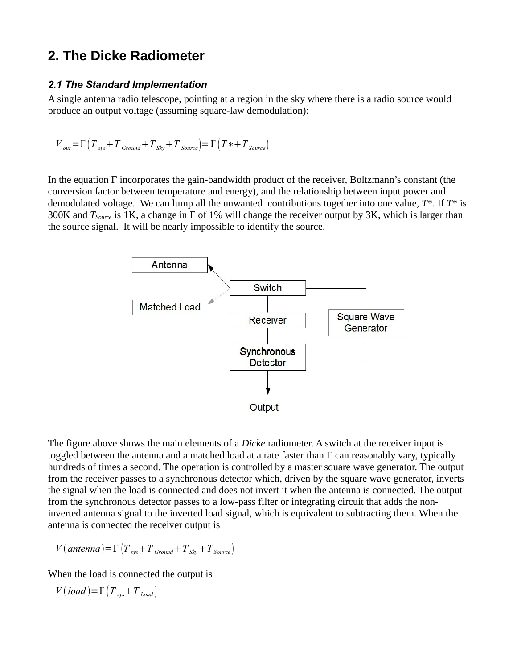# **2. The Dicke Radiometer**

# *2.1 The Standard Implementation*

A single antenna radio telescope, pointing at a region in the sky where there is a radio source would produce an output voltage (assuming square-law demodulation):

$$
V_{out} = \Gamma \left( T_{sys} + T_{Ground} + T_{sky} + T_{Source} \right) = \Gamma \left( T* + T_{Source} \right)
$$

In the equation Γ incorporates the gain-bandwidth product of the receiver, Boltzmann's constant (the conversion factor between temperature and energy), and the relationship between input power and demodulated voltage. We can lump all the unwanted contributions together into one value, *T*\*. If *T*\* is 300K and *TSource* is 1K, a change in Γ of 1% will change the receiver output by 3K, which is larger than the source signal. It will be nearly impossible to identify the source.



The figure above shows the main elements of a *Dicke* radiometer. A switch at the receiver input is toggled between the antenna and a matched load at a rate faster than Γ can reasonably vary, typically hundreds of times a second. The operation is controlled by a master square wave generator. The output from the receiver passes to a synchronous detector which, driven by the square wave generator, inverts the signal when the load is connected and does not invert it when the antenna is connected. The output from the synchronous detector passes to a low-pass filter or integrating circuit that adds the noninverted antenna signal to the inverted load signal, which is equivalent to subtracting them. When the antenna is connected the receiver output is

$$
V(\text{antenna}) = \Gamma \left( T_{sys} + T_{Ground} + T_{Sky} + T_{Source} \right)
$$

When the load is connected the output is

 $V(\text{load}) = \Gamma(T_{\text{sys}} + T_{\text{load}})$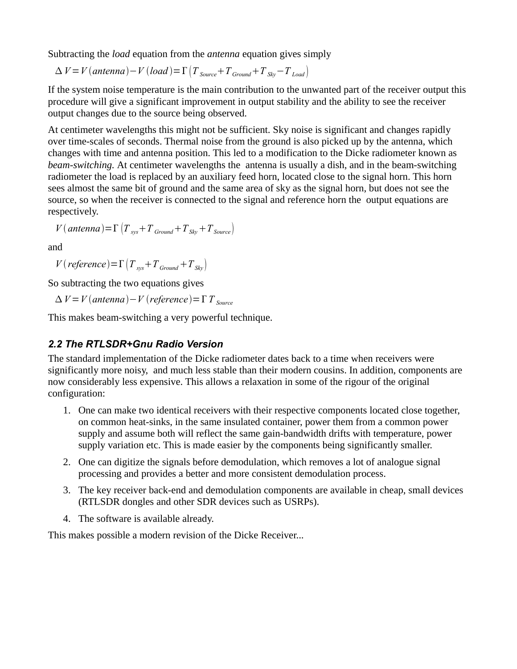Subtracting the *load* equation from the *antenna* equation gives simply

$$
\Delta V = V(antenna) - V(load) = \Gamma \left( T_{Source} + T_{Ground} + T_{sky} - T_{Load} \right)
$$

If the system noise temperature is the main contribution to the unwanted part of the receiver output this procedure will give a significant improvement in output stability and the ability to see the receiver output changes due to the source being observed.

At centimeter wavelengths this might not be sufficient. Sky noise is significant and changes rapidly over time-scales of seconds. Thermal noise from the ground is also picked up by the antenna, which changes with time and antenna position. This led to a modification to the Dicke radiometer known as *beam-switching.* At centimeter wavelengths the antenna is usually a dish, and in the beam-switching radiometer the load is replaced by an auxiliary feed horn, located close to the signal horn. This horn sees almost the same bit of ground and the same area of sky as the signal horn, but does not see the source, so when the receiver is connected to the signal and reference horn the output equations are respectively.

$$
V(\text{antenna}) = \Gamma \left( T_{sys} + T_{Ground} + T_{Sky} + T_{Source} \right)
$$

and

*V* (*reference*)= $\Gamma$   $\left(T_{\text{sys}}+T_{\text{Ground}}+T_{\text{Skv}}\right)$ 

So subtracting the two equations gives

 $\Delta V = V$  (antenna) – *V* (reference) =  $\Gamma T$  source

This makes beam-switching a very powerful technique.

# *2.2 The RTLSDR+Gnu Radio Version*

The standard implementation of the Dicke radiometer dates back to a time when receivers were significantly more noisy, and much less stable than their modern cousins. In addition, components are now considerably less expensive. This allows a relaxation in some of the rigour of the original configuration:

- 1. One can make two identical receivers with their respective components located close together, on common heat-sinks, in the same insulated container, power them from a common power supply and assume both will reflect the same gain-bandwidth drifts with temperature, power supply variation etc. This is made easier by the components being significantly smaller.
- 2. One can digitize the signals before demodulation, which removes a lot of analogue signal processing and provides a better and more consistent demodulation process.
- 3. The key receiver back-end and demodulation components are available in cheap, small devices (RTLSDR dongles and other SDR devices such as USRPs).
- 4. The software is available already.

This makes possible a modern revision of the Dicke Receiver...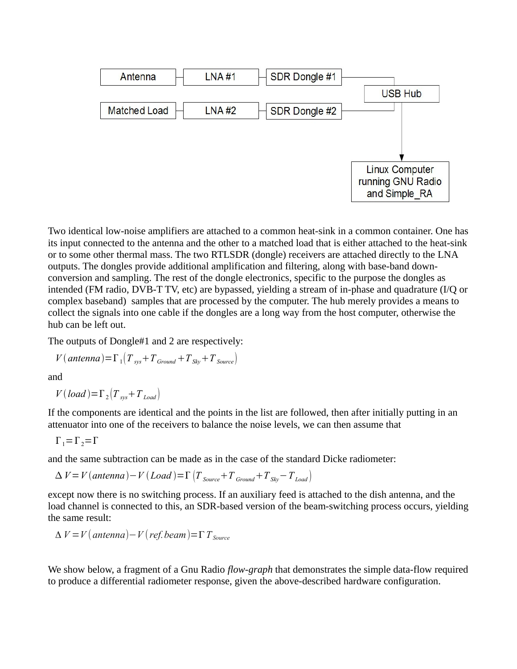

Two identical low-noise amplifiers are attached to a common heat-sink in a common container. One has its input connected to the antenna and the other to a matched load that is either attached to the heat-sink or to some other thermal mass. The two RTLSDR (dongle) receivers are attached directly to the LNA outputs. The dongles provide additional amplification and filtering, along with base-band downconversion and sampling. The rest of the dongle electronics, specific to the purpose the dongles as intended (FM radio, DVB-T TV, etc) are bypassed, yielding a stream of in-phase and quadrature (I/Q or complex baseband) samples that are processed by the computer. The hub merely provides a means to collect the signals into one cable if the dongles are a long way from the host computer, otherwise the hub can be left out.

The outputs of Dongle#1 and 2 are respectively:

$$
V(\text{antenna}) = \Gamma_1 \left( T_{sys} + T_{Ground} + T_{Sky} + T_{Source} \right)
$$

and

 $V(\text{load}) = \Gamma_2 \left( T_{\text{sys}} + T_{\text{load}} \right)$ 

If the components are identical and the points in the list are followed, then after initially putting in an attenuator into one of the receivers to balance the noise levels, we can then assume that

$$
\Gamma_1 = \Gamma_2 = \Gamma
$$

and the same subtraction can be made as in the case of the standard Dicke radiometer:

$$
\Delta V = V(antenna) - V(Load) = \Gamma \left( T_{Source} + T_{Ground} + T_{Sky} - T_{Load} \right)
$$

except now there is no switching process. If an auxiliary feed is attached to the dish antenna, and the load channel is connected to this, an SDR-based version of the beam-switching process occurs, yielding the same result:

$$
\Delta V = V \left( antenna \right) - V \left( ref. beam \right) = \Gamma T_{Source}
$$

We show below, a fragment of a Gnu Radio *flow-graph* that demonstrates the simple data-flow required to produce a differential radiometer response, given the above-described hardware configuration.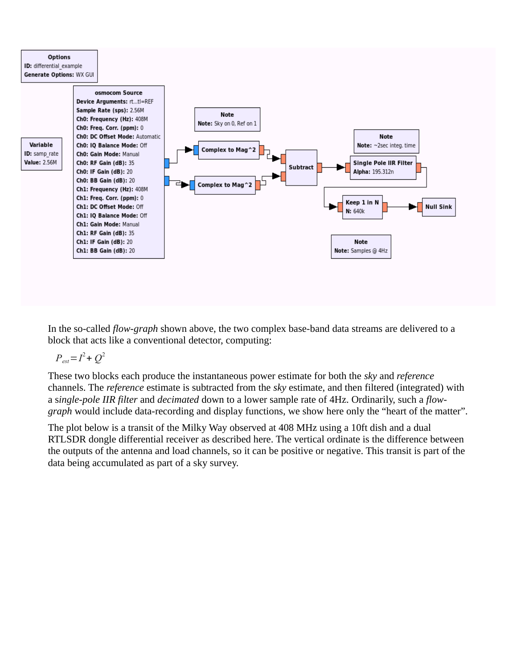

In the so-called *flow-graph* shown above, the two complex base-band data streams are delivered to a block that acts like a conventional detector, computing:

 $P_{est} = I^2 + Q^2$ 

These two blocks each produce the instantaneous power estimate for both the *sky* and *reference* channels. The *reference* estimate is subtracted from the *sky* estimate, and then filtered (integrated) with a s*ingle-pole IIR filter* and *decimated* down to a lower sample rate of 4Hz. Ordinarily, such a *flowgraph* would include data-recording and display functions, we show here only the "heart of the matter".

The plot below is a transit of the Milky Way observed at 408 MHz using a 10ft dish and a dual RTLSDR dongle differential receiver as described here. The vertical ordinate is the difference between the outputs of the antenna and load channels, so it can be positive or negative. This transit is part of the data being accumulated as part of a sky survey.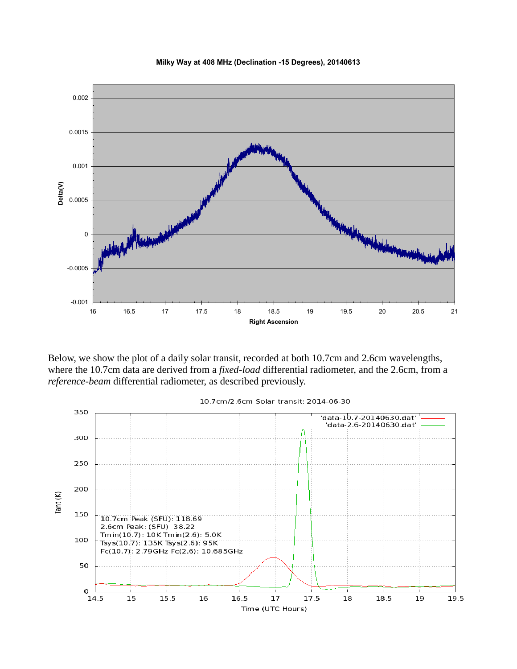



Below, we show the plot of a daily solar transit, recorded at both 10.7cm and 2.6cm wavelengths, where the 10.7cm data are derived from a *fixed-load* differential radiometer, and the 2.6cm, from a *reference-beam* differential radiometer, as described previously.



#### 10.7cm/2.6cm Solar transit: 2014-06-30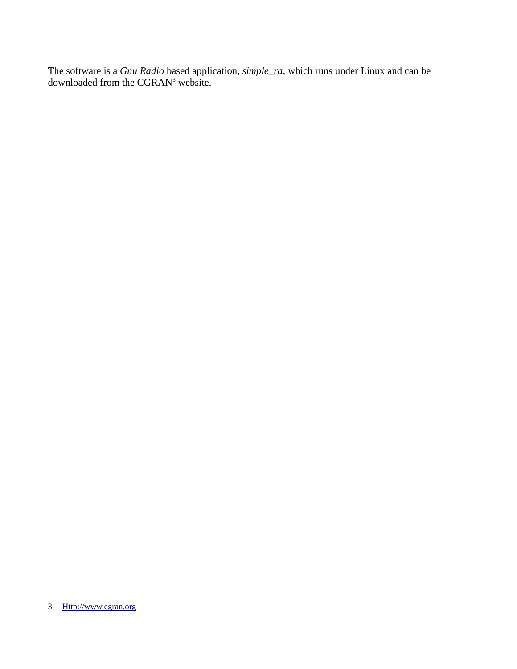The software is a *Gnu Radio* based application, *simple\_ra*, which runs under Linux and can be downloaded from the CGRAN<sup>[3](#page-6-0)</sup> website.

<span id="page-6-0"></span><sup>3</sup> [Http://www.cgran.org](http://www.cgran.org/)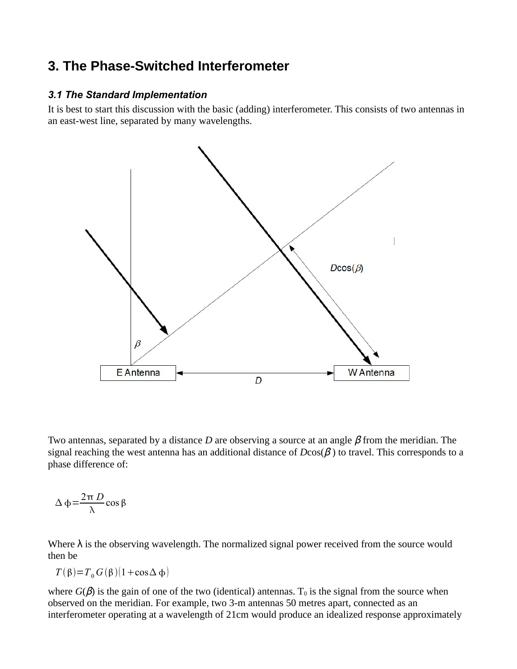# **3. The Phase-Switched Interferometer**

## *3.1 The Standard Implementation*

It is best to start this discussion with the basic (adding) interferometer. This consists of two antennas in an east-west line, separated by many wavelengths.



Two antennas, separated by a distance *D* are observing a source at an angle β from the meridian. The signal reaching the west antenna has an additional distance of  $D\cos(\beta)$  to travel. This corresponds to a phase difference of:

$$
\Delta \phi = \frac{2\pi D}{\lambda} \cos \beta
$$

Where  $\lambda$  is the observing wavelength. The normalized signal power received from the source would then be

$$
T(\beta) = T_0 G(\beta) (1 + \cos \Delta \phi)
$$

where  $G(\beta)$  is the gain of one of the two (identical) antennas. T<sub>0</sub> is the signal from the source when observed on the meridian. For example, two 3-m antennas 50 metres apart, connected as an interferometer operating at a wavelength of 21cm would produce an idealized response approximately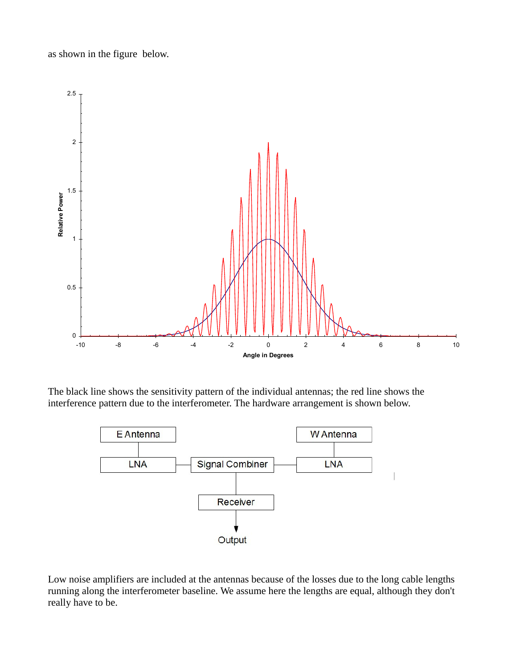as shown in the figure below.



The black line shows the sensitivity pattern of the individual antennas; the red line shows the interference pattern due to the interferometer. The hardware arrangement is shown below.



Low noise amplifiers are included at the antennas because of the losses due to the long cable lengths running along the interferometer baseline. We assume here the lengths are equal, although they don't really have to be.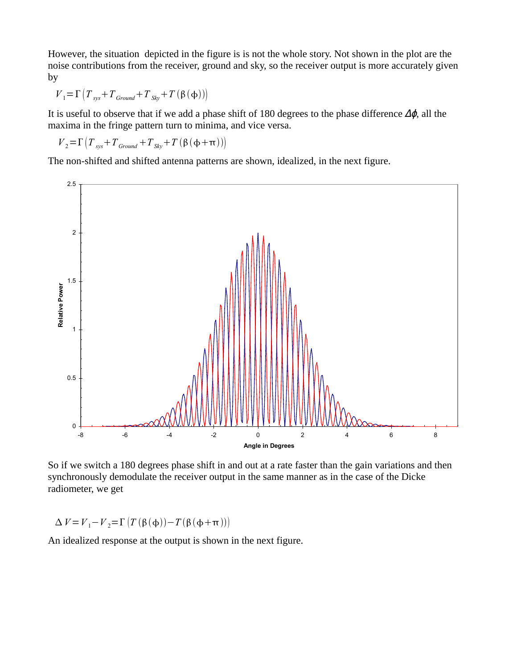However, the situation depicted in the figure is is not the whole story. Not shown in the plot are the noise contributions from the receiver, ground and sky, so the receiver output is more accurately given by

$$
V_1 = \Gamma \left( T_{sys} + T_{Ground} + T_{sky} + T \left( \beta \left( \phi \right) \right) \right)
$$

It is useful to observe that if we add a phase shift of 180 degrees to the phase difference  $\Delta\phi$ , all the maxima in the fringe pattern turn to minima, and vice versa.

$$
V_2 = \Gamma \left( T_{sys} + T_{Ground} + T_{Sky} + T \left( \beta \left( \phi + \pi \right) \right) \right)
$$

The non-shifted and shifted antenna patterns are shown, idealized, in the next figure.



So if we switch a 180 degrees phase shift in and out at a rate faster than the gain variations and then synchronously demodulate the receiver output in the same manner as in the case of the Dicke radiometer, we get

 $\Delta V = V_1 - V_2 = \Gamma \left( T \left( \beta (\phi) \right) - T \left( \beta (\phi + \pi) \right) \right)$ 

An idealized response at the output is shown in the next figure.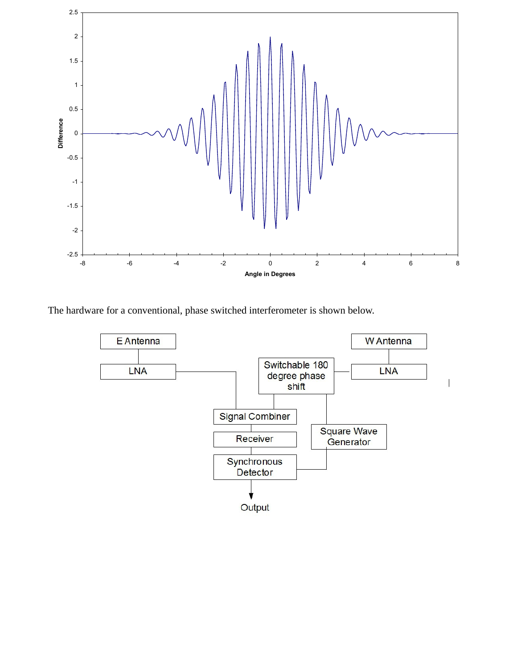

The hardware for a conventional, phase switched interferometer is shown below.

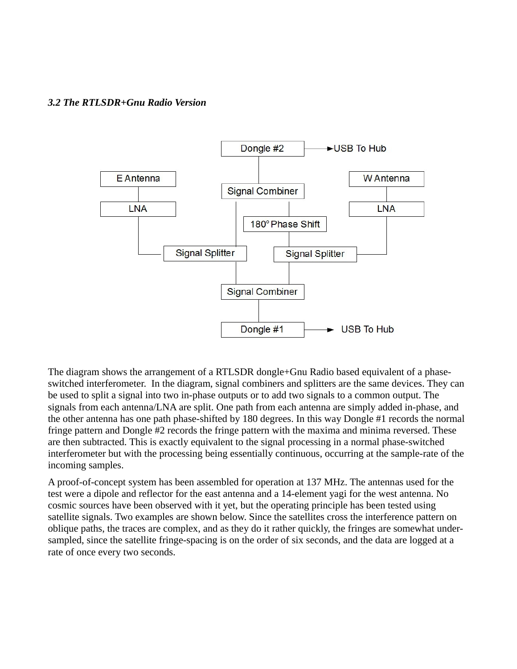### *3.2 The RTLSDR+Gnu Radio Version*



The diagram shows the arrangement of a RTLSDR dongle+Gnu Radio based equivalent of a phaseswitched interferometer. In the diagram, signal combiners and splitters are the same devices. They can be used to split a signal into two in-phase outputs or to add two signals to a common output. The signals from each antenna/LNA are split. One path from each antenna are simply added in-phase, and the other antenna has one path phase-shifted by 180 degrees. In this way Dongle #1 records the normal fringe pattern and Dongle #2 records the fringe pattern with the maxima and minima reversed. These are then subtracted. This is exactly equivalent to the signal processing in a normal phase-switched interferometer but with the processing being essentially continuous, occurring at the sample-rate of the incoming samples.

A proof-of-concept system has been assembled for operation at 137 MHz. The antennas used for the test were a dipole and reflector for the east antenna and a 14-element yagi for the west antenna. No cosmic sources have been observed with it yet, but the operating principle has been tested using satellite signals. Two examples are shown below. Since the satellites cross the interference pattern on oblique paths, the traces are complex, and as they do it rather quickly, the fringes are somewhat undersampled, since the satellite fringe-spacing is on the order of six seconds, and the data are logged at a rate of once every two seconds.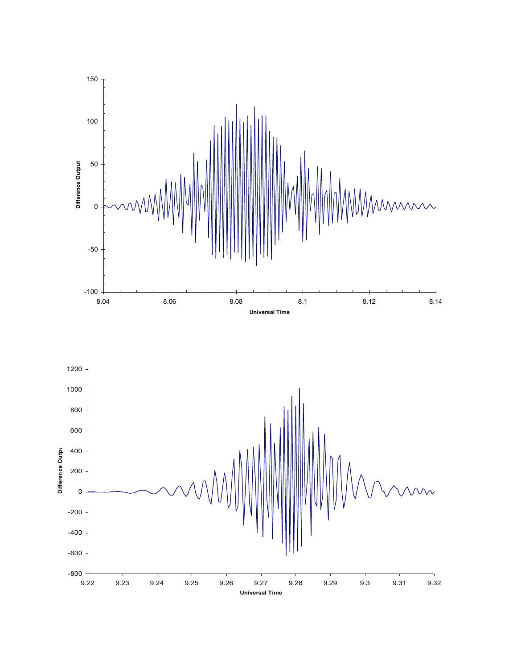